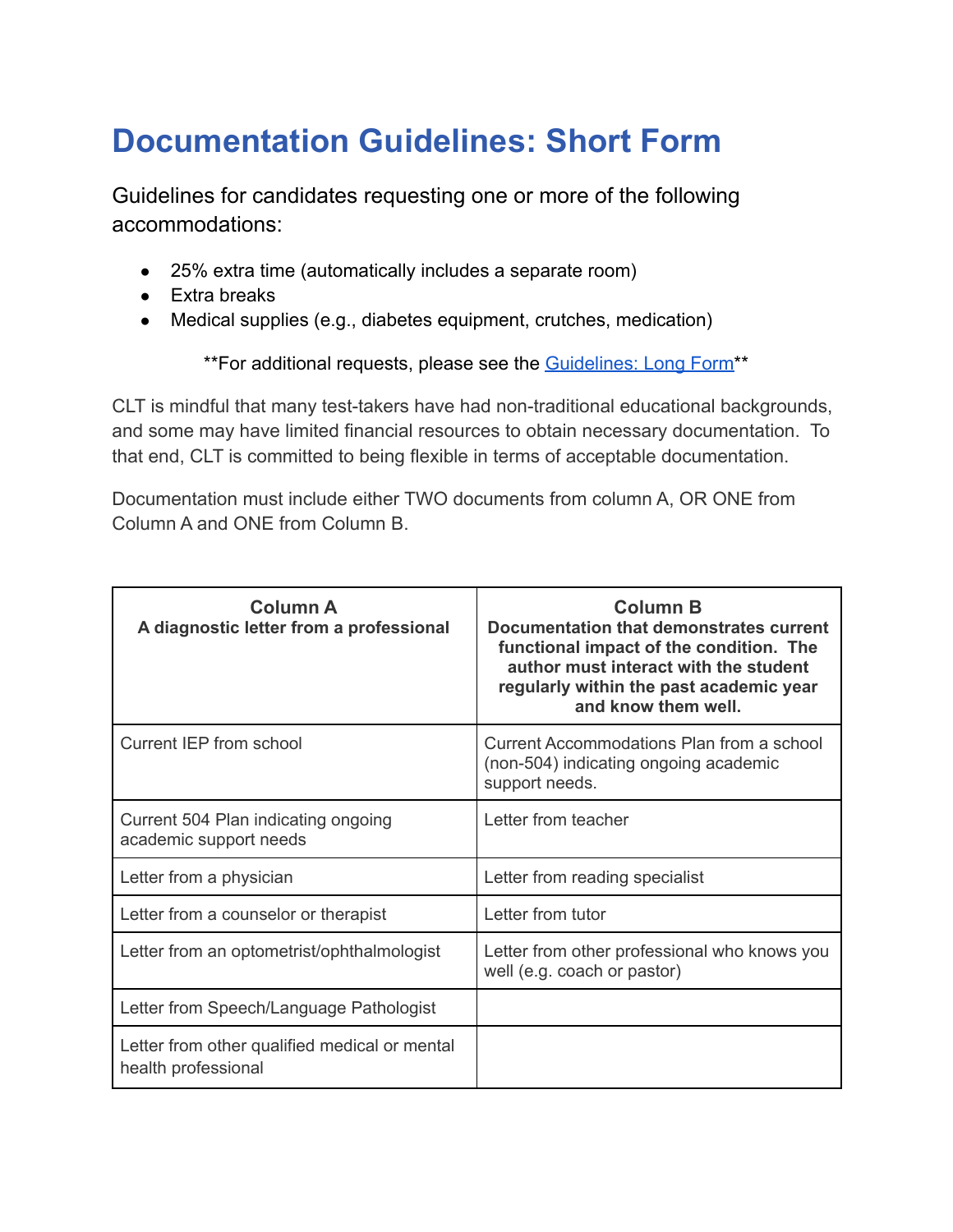## **Documentation Guidelines: Short Form**

Guidelines for candidates requesting one or more of the following accommodations:

- 25% extra time (automatically includes a separate room)
- Extra breaks
- Medical supplies (e.g., diabetes equipment, crutches, medication)

\*\*For additional requests, please see the [Guidelines:](#page-2-0) Long Form<sup>\*\*</sup>

CLT is mindful that many test-takers have had non-traditional educational backgrounds, and some may have limited financial resources to obtain necessary documentation. To that end, CLT is committed to being flexible in terms of acceptable documentation.

Documentation must include either TWO documents from column A, OR ONE from Column A and ONE from Column B.

| <b>Column A</b><br>A diagnostic letter from a professional           | <b>Column B</b><br>Documentation that demonstrates current<br>functional impact of the condition. The<br>author must interact with the student<br>regularly within the past academic year<br>and know them well. |
|----------------------------------------------------------------------|------------------------------------------------------------------------------------------------------------------------------------------------------------------------------------------------------------------|
| Current IEP from school                                              | Current Accommodations Plan from a school<br>(non-504) indicating ongoing academic<br>support needs.                                                                                                             |
| Current 504 Plan indicating ongoing<br>academic support needs        | Letter from teacher                                                                                                                                                                                              |
| Letter from a physician                                              | Letter from reading specialist                                                                                                                                                                                   |
| Letter from a counselor or therapist                                 | Letter from tutor                                                                                                                                                                                                |
| Letter from an optometrist/ophthalmologist                           | Letter from other professional who knows you<br>well (e.g. coach or pastor)                                                                                                                                      |
| Letter from Speech/Language Pathologist                              |                                                                                                                                                                                                                  |
| Letter from other qualified medical or mental<br>health professional |                                                                                                                                                                                                                  |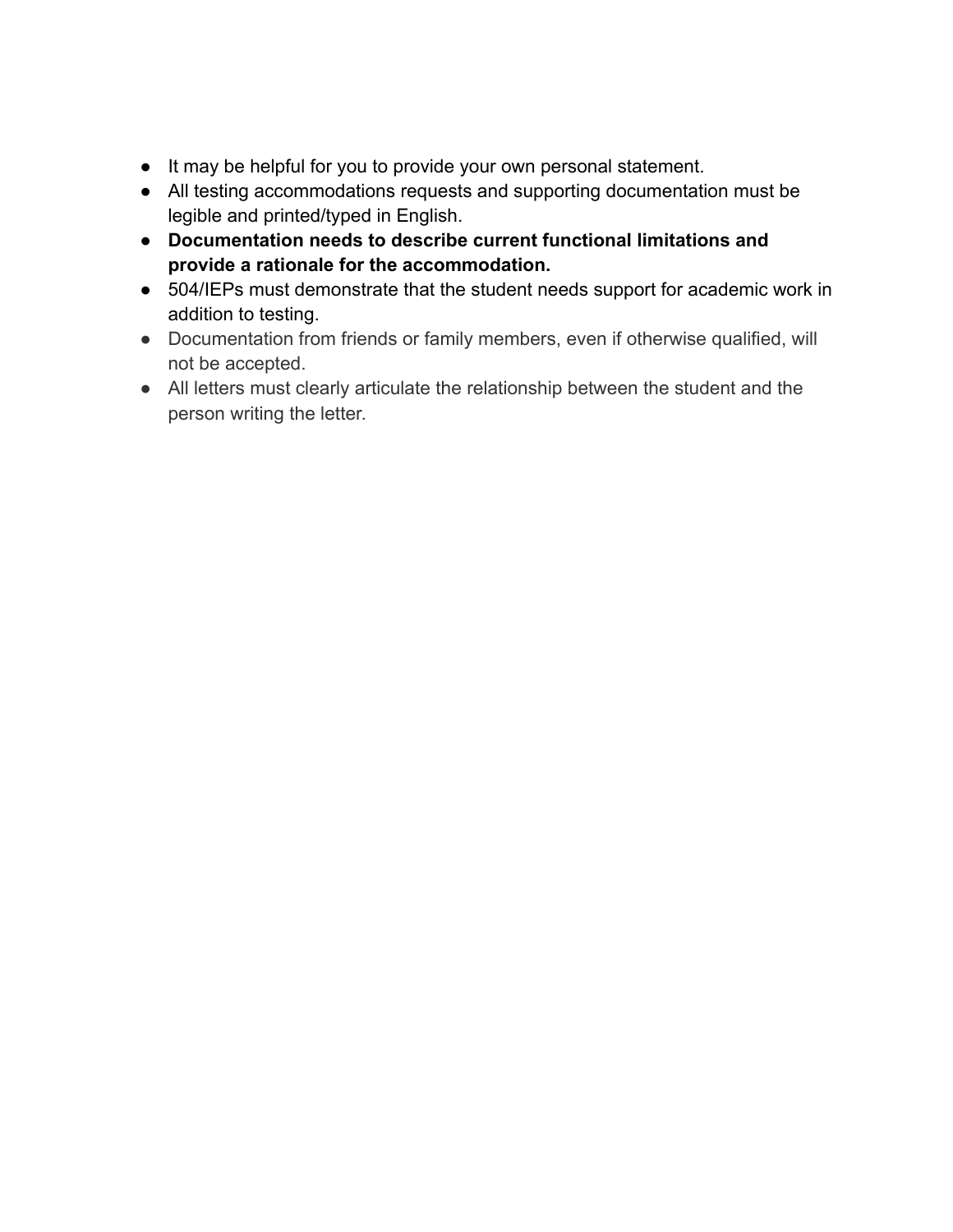- It may be helpful for you to provide your own personal statement.
- All testing accommodations requests and supporting documentation must be legible and printed/typed in English.
- **Documentation needs to describe current functional limitations and provide a rationale for the accommodation.**
- 504/IEPs must demonstrate that the student needs support for academic work in addition to testing.
- Documentation from friends or family members, even if otherwise qualified, will not be accepted.
- All letters must clearly articulate the relationship between the student and the person writing the letter.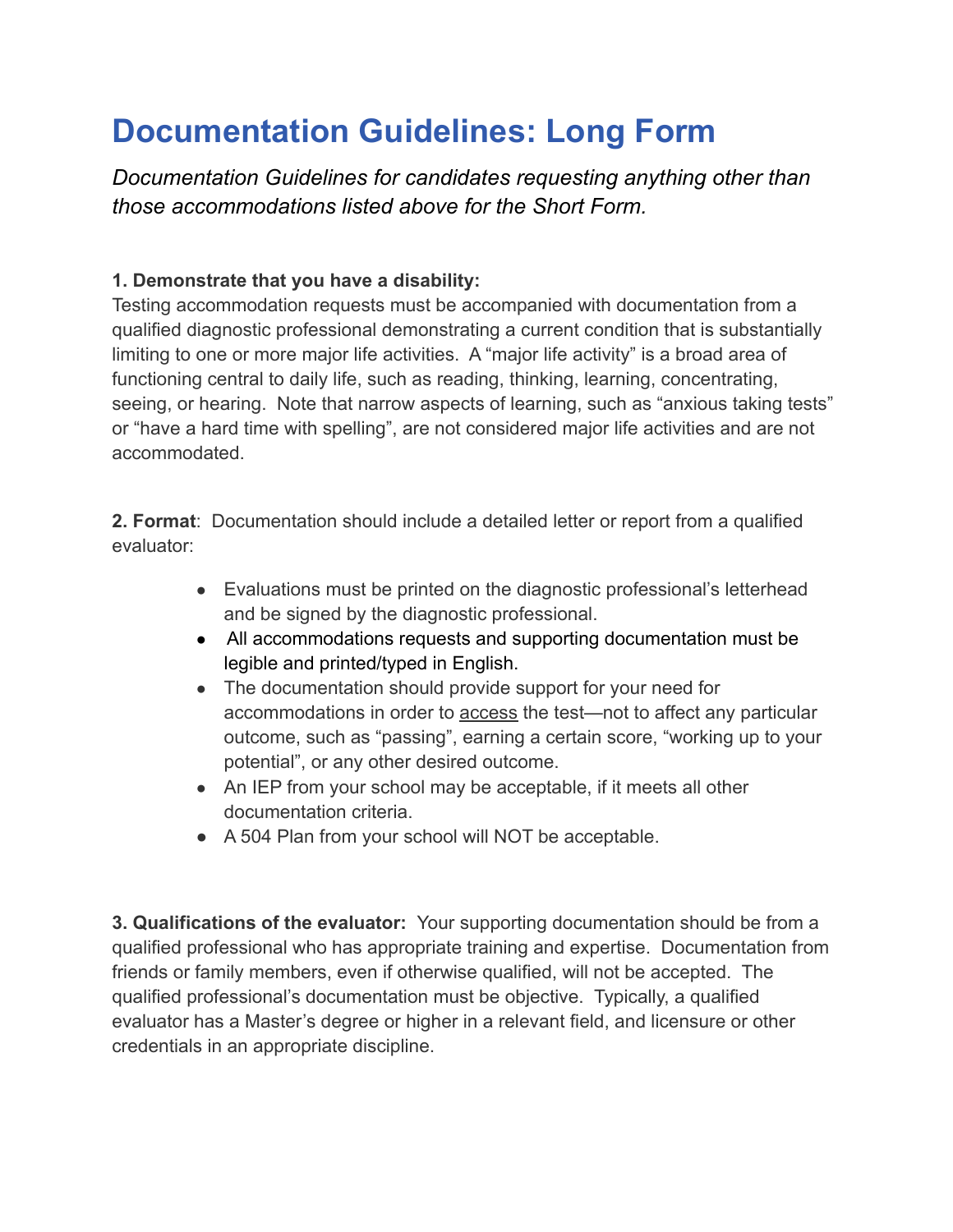## <span id="page-2-0"></span>**Documentation Guidelines: Long Form**

*Documentation Guidelines for candidates requesting anything other than those accommodations listed above for the Short Form.*

## **1. Demonstrate that you have a disability:**

Testing accommodation requests must be accompanied with documentation from a qualified diagnostic professional demonstrating a current condition that is substantially limiting to one or more major life activities. A "major life activity" is a broad area of functioning central to daily life, such as reading, thinking, learning, concentrating, seeing, or hearing. Note that narrow aspects of learning, such as "anxious taking tests" or "have a hard time with spelling", are not considered major life activities and are not accommodated.

**2. Format**: Documentation should include a detailed letter or report from a qualified evaluator:

- Evaluations must be printed on the diagnostic professional's letterhead and be signed by the diagnostic professional.
- All accommodations requests and supporting documentation must be legible and printed/typed in English.
- The documentation should provide support for your need for accommodations in order to access the test—not to affect any particular outcome, such as "passing", earning a certain score, "working up to your potential", or any other desired outcome.
- An IEP from your school may be acceptable, if it meets all other documentation criteria.
- A 504 Plan from your school will NOT be acceptable.

**3. Qualifications of the evaluator:** Your supporting documentation should be from a qualified professional who has appropriate training and expertise. Documentation from friends or family members, even if otherwise qualified, will not be accepted. The qualified professional's documentation must be objective. Typically, a qualified evaluator has a Master's degree or higher in a relevant field, and licensure or other credentials in an appropriate discipline.